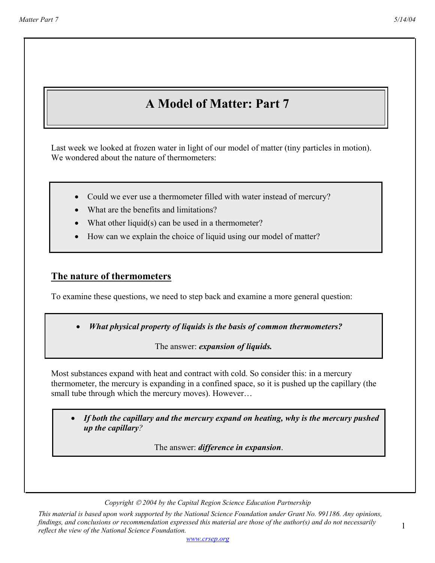# **A Model of Matter: Part 7**

Last week we looked at frozen water in light of our model of matter (tiny particles in motion). We wondered about the nature of thermometers:

- Could we ever use a thermometer filled with water instead of mercury?
- What are the benefits and limitations?
- What other liquid(s) can be used in a thermometer?
- How can we explain the choice of liquid using our model of matter?

### **The nature of thermometers**

To examine these questions, we need to step back and examine a more general question:

• *What physical property of liquids is the basis of common thermometers?* 

The answer: *expansion of liquids.*

Most substances expand with heat and contract with cold. So consider this: in a mercury thermometer, the mercury is expanding in a confined space, so it is pushed up the capillary (the small tube through which the mercury moves). However…

• *If both the capillary and the mercury expand on heating, why is the mercury pushed up the capillary?* 

The answer: *difference in expansion*.

*Copyright 2004 by the Capital Region Science Education Partnership*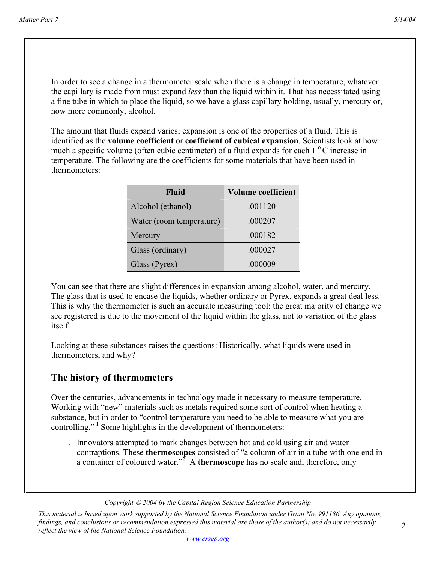In order to see a change in a thermometer scale when there is a change in temperature, whatever the capillary is made from must expand *less* than the liquid within it. That has necessitated using a fine tube in which to place the liquid, so we have a glass capillary holding, usually, mercury or, now more commonly, alcohol.

The amount that fluids expand varies; expansion is one of the properties of a fluid. This is identified as the **volume coefficient** or **coefficient of cubical expansion**. Scientists look at how much a specific volume (often cubic centimeter) of a fluid expands for each  $1^{\circ}$ C increase in temperature. The following are the coefficients for some materials that have been used in thermometers:

| Fluid                    | <b>Volume coefficient</b> |
|--------------------------|---------------------------|
| Alcohol (ethanol)        | .001120                   |
| Water (room temperature) | .000207                   |
| Mercury                  | .000182                   |
| Glass (ordinary)         | .000027                   |
| Glass (Pyrex)            | .000009                   |

You can see that there are slight differences in expansion among alcohol, water, and mercury. The glass that is used to encase the liquids, whether ordinary or Pyrex, expands a great deal less. This is why the thermometer is such an accurate measuring tool: the great majority of change we see registered is due to the movement of the liquid within the glass, not to variation of the glass itself.

Looking at these substances raises the questions: Historically, what liquids were used in thermometers, and why?

## **The history of thermometers**

Over the centuries, advancements in technology made it necessary to measure temperature. Working with "new" materials such as metals required some sort of control when heating a substance, but in order to "control temperature you need to be able to measure what you are controlling."<sup>1</sup> Some highlights in the development of thermometers:

1. Innovators attempted to mark changes between hot and cold using air and water contraptions. These **thermoscopes** consisted of "a column of air in a tube with one end in a container of coloured water.<sup>32</sup> A **thermoscope** has no scale and, therefore, only

*Copyright 2004 by the Capital Region Science Education Partnership*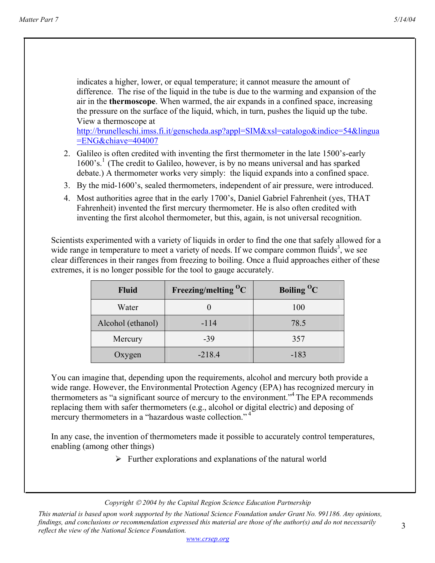indicates a higher, lower, or equal temperature; it cannot measure the amount of difference. The rise of the liquid in the tube is due to the warming and expansion of the air in the **thermoscope**. When warmed, the air expands in a confined space, increasing the pressure on the surface of the liquid, which, in turn, pushes the liquid up the tube. View a thermoscope at

http://brunelleschi.imss.fi.it/genscheda.asp?appl=SIM&xsl=catalogo&indice=54&lingua =ENG&chiave=404007

- 2. Galileo is often credited with inventing the first thermometer in the late 1500's-early 1600's.1 (The credit to Galileo, however, is by no means universal and has sparked debate.) A thermometer works very simply: the liquid expands into a confined space.
- 3. By the mid-1600's, sealed thermometers, independent of air pressure, were introduced.
- 4. Most authorities agree that in the early 1700's, Daniel Gabriel Fahrenheit (yes, THAT Fahrenheit) invented the first mercury thermometer. He is also often credited with inventing the first alcohol thermometer, but this, again, is not universal recognition.

Scientists experimented with a variety of liquids in order to find the one that safely allowed for a wide range in temperature to meet a variety of needs. If we compare common fluids<sup>3</sup>, we see clear differences in their ranges from freezing to boiling. Once a fluid approaches either of these extremes, it is no longer possible for the tool to gauge accurately.

| <b>Fluid</b>      | Freezing/melting <sup>O</sup> C | <b>Boiling <sup>O</sup>C</b> |
|-------------------|---------------------------------|------------------------------|
| Water             |                                 | 100                          |
| Alcohol (ethanol) | $-114$                          | 78.5                         |
| Mercury           | -39                             | 357                          |
| Oxygen            | $-218.4$                        | $-183$                       |

You can imagine that, depending upon the requirements, alcohol and mercury both provide a wide range. However, the Environmental Protection Agency (EPA) has recognized mercury in thermometers as "a significant source of mercury to the environment."4 The EPA recommends replacing them with safer thermometers (e.g., alcohol or digital electric) and deposing of mercury thermometers in a "hazardous waste collection."<sup>4</sup>

In any case, the invention of thermometers made it possible to accurately control temperatures, enabling (among other things)

 $\triangleright$  Further explorations and explanations of the natural world

*Copyright 2004 by the Capital Region Science Education Partnership*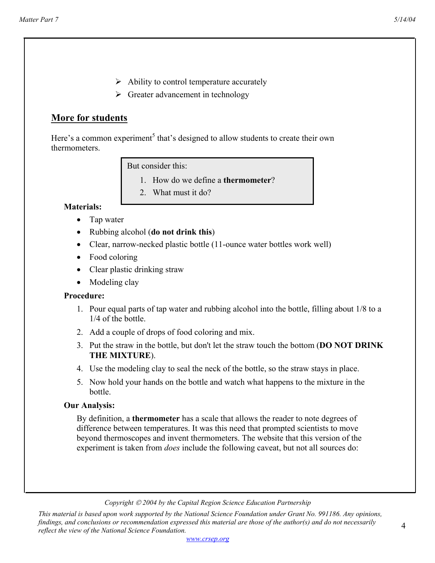- $\triangleright$  Ability to control temperature accurately
- $\triangleright$  Greater advancement in technology

## **More for students**

Here's a common experiment<sup>5</sup> that's designed to allow students to create their own thermometers.

But consider this:

- 1. How do we define a **thermometer**?
- 2. What must it do?

**Materials:** 

- Tap water
- Rubbing alcohol (**do not drink this**)
- Clear, narrow-necked plastic bottle (11-ounce water bottles work well)
- Food coloring
- Clear plastic drinking straw
- Modeling clay

#### **Procedure:**

- 1. Pour equal parts of tap water and rubbing alcohol into the bottle, filling about 1/8 to a 1/4 of the bottle.
- 2. Add a couple of drops of food coloring and mix.
- 3. Put the straw in the bottle, but don't let the straw touch the bottom (**DO NOT DRINK THE MIXTURE**).
- 4. Use the modeling clay to seal the neck of the bottle, so the straw stays in place.
- 5. Now hold your hands on the bottle and watch what happens to the mixture in the bottle.

#### **Our Analysis:**

By definition, a **thermometer** has a scale that allows the reader to note degrees of difference between temperatures. It was this need that prompted scientists to move beyond thermoscopes and invent thermometers. The website that this version of the experiment is taken from *does* include the following caveat, but not all sources do:

#### *Copyright 2004 by the Capital Region Science Education Partnership*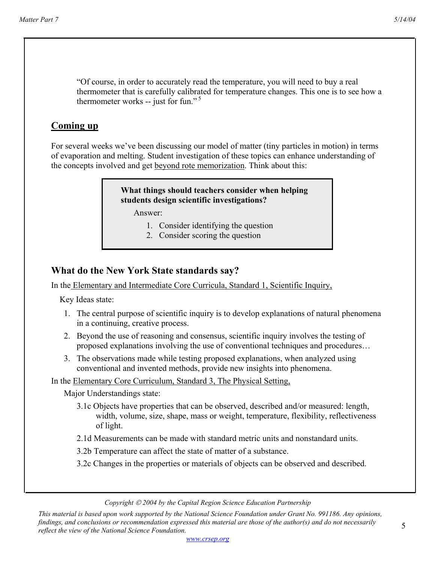"Of course, in order to accurately read the temperature, you will need to buy a real thermometer that is carefully calibrated for temperature changes. This one is to see how a thermometer works -- just for fun." 5

## **Coming up**

For several weeks we've been discussing our model of matter (tiny particles in motion) in terms of evaporation and melting. Student investigation of these topics can enhance understanding of the concepts involved and get beyond rote memorization. Think about this:

#### **What things should teachers consider when helping students design scientific investigations?**

Answer:

- 1. Consider identifying the question
- 2. Consider scoring the question

## **What do the New York State standards say?**

In the Elementary and Intermediate Core Curricula, Standard 1, Scientific Inquiry,

Key Ideas state:

- 1. The central purpose of scientific inquiry is to develop explanations of natural phenomena in a continuing, creative process.
- 2. Beyond the use of reasoning and consensus, scientific inquiry involves the testing of proposed explanations involving the use of conventional techniques and procedures…
- 3. The observations made while testing proposed explanations, when analyzed using conventional and invented methods, provide new insights into phenomena.

In the Elementary Core Curriculum, Standard 3, The Physical Setting,

Major Understandings state:

- 3.1c Objects have properties that can be observed, described and/or measured: length, width, volume, size, shape, mass or weight, temperature, flexibility, reflectiveness of light.
- 2.1d Measurements can be made with standard metric units and nonstandard units.
- 3.2b Temperature can affect the state of matter of a substance.
- 3.2c Changes in the properties or materials of objects can be observed and described.

*Copyright 2004 by the Capital Region Science Education Partnership*